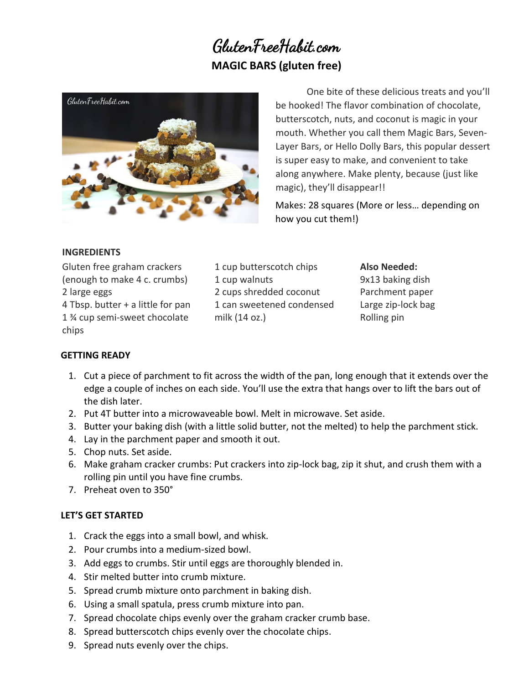# GlutenFreeHabit.com **MAGIC BARS (gluten free)**



One bite of these delicious treats and you'll be hooked! The flavor combination of chocolate, butterscotch, nuts, and coconut is magic in your mouth. Whether you call them Magic Bars, Seven-Layer Bars, or Hello Dolly Bars, this popular dessert is super easy to make, and convenient to take along anywhere. Make plenty, because (just like magic), they'll disappear!!

Makes: 28 squares (More or less… depending on how you cut them!)

### **INGREDIENTS**

Gluten free graham crackers (enough to make 4 c. crumbs) 2 large eggs 4 Tbsp. butter + a little for pan 1 ¾ cup semi-sweet chocolate chips

1 cup butterscotch chips 1 cup walnuts 2 cups shredded coconut 1 can sweetened condensed milk (14 oz.)

#### **Also Needed:**

9x13 baking dish Parchment paper Large zip-lock bag Rolling pin

## **GETTING READY**

- 1. Cut a piece of parchment to fit across the width of the pan, long enough that it extends over the edge a couple of inches on each side. You'll use the extra that hangs over to lift the bars out of the dish later.
- 2. Put 4T butter into a microwaveable bowl. Melt in microwave. Set aside.
- 3. Butter your baking dish (with a little solid butter, not the melted) to help the parchment stick.
- 4. Lay in the parchment paper and smooth it out.
- 5. Chop nuts. Set aside.
- 6. Make graham cracker crumbs: Put crackers into zip-lock bag, zip it shut, and crush them with a rolling pin until you have fine crumbs.
- 7. Preheat oven to 350°

## **LET'S GET STARTED**

- 1. Crack the eggs into a small bowl, and whisk.
- 2. Pour crumbs into a medium-sized bowl.
- 3. Add eggs to crumbs. Stir until eggs are thoroughly blended in.
- 4. Stir melted butter into crumb mixture.
- 5. Spread crumb mixture onto parchment in baking dish.
- 6. Using a small spatula, press crumb mixture into pan.
- 7. Spread chocolate chips evenly over the graham cracker crumb base.
- 8. Spread butterscotch chips evenly over the chocolate chips.
- 9. Spread nuts evenly over the chips.